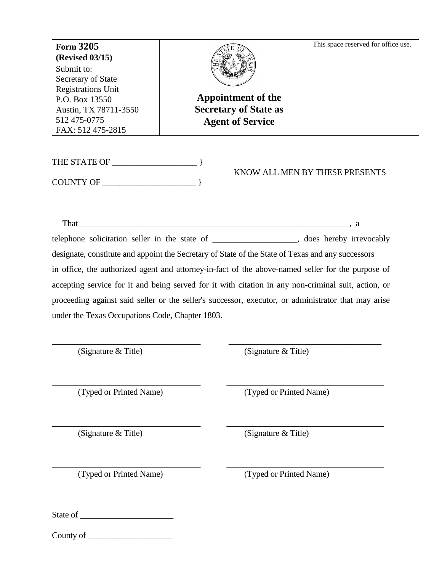\_\_\_\_\_\_\_\_\_\_\_\_\_\_\_\_\_\_\_\_ THE STATE OF } This space reserved for office use. **Appointment of the Secretary of State as Agent of Service Form 3205 (Revised 03/15)** Submit to: Secretary of State Registrations Unit P.O. Box 13550 Austin, TX 78711-3550 512 475-0775 FAX: 512 475-2815

\_\_\_\_\_\_\_\_\_\_\_\_\_\_\_\_\_\_\_\_\_\_ COUNTY OF }

KNOW ALL MEN BY THESE PRESENTS

\_\_\_\_\_\_\_\_\_\_\_\_\_\_\_\_\_\_\_ That \_\_\_\_\_\_\_\_\_\_\_\_\_\_\_\_\_\_\_\_\_\_\_\_\_\_\_\_\_\_\_\_\_\_\_\_\_\_\_\_\_\_\_\_\_, a telephone solicitation seller in the state of \_\_\_\_\_\_\_\_\_\_\_\_\_\_\_\_\_\_\_\_\_, does hereby irrevocably designate, constitute and appoint the Secretary of State of the State of Texas and any successors in office, the authorized agent and attorney-in-fact of the above-named seller for the purpose of accepting service for it and being served for it with citation in any non-criminal suit, action, or proceeding against said seller or the seller's successor, executor, or administrator that may arise under the Texas Occupations Code, Chapter 1803.

\_\_\_\_\_\_\_\_\_\_\_\_\_\_\_\_\_\_\_\_\_\_\_\_\_\_\_\_\_\_\_\_\_\_\_ \_\_\_\_\_\_\_\_\_\_\_\_\_\_\_\_\_\_\_\_\_\_\_\_\_\_\_\_\_\_\_\_\_\_\_\_

\_\_\_\_\_\_\_\_\_\_\_\_\_\_\_\_\_\_\_\_\_\_\_\_\_\_\_\_\_\_\_\_\_\_\_ \_\_\_\_\_\_\_\_\_\_\_\_\_\_\_\_\_\_\_\_\_\_\_\_\_\_\_\_\_\_\_\_\_\_\_\_\_

\_\_\_\_\_\_\_\_\_\_\_\_\_\_\_\_\_\_\_\_\_\_\_\_\_\_\_\_\_\_\_\_\_\_\_ \_\_\_\_\_\_\_\_\_\_\_\_\_\_\_\_\_\_\_\_\_\_\_\_\_\_\_\_\_\_\_\_\_\_\_\_\_

(Signature & Title)

(Signature & Title)

(Typed or Printed Name)

(Typed or Printed Name)

(Signature & Title)

(Signature & Title)

\_\_\_\_\_\_\_\_\_\_\_\_\_\_\_\_\_\_\_\_\_\_\_\_\_\_\_\_\_\_\_\_\_\_\_ \_\_\_\_\_\_\_\_\_\_\_\_\_\_\_\_\_\_\_\_\_\_\_\_\_\_\_\_\_\_\_\_\_\_\_\_\_ (Typed or Printed Name)

(Typed or Printed Name)

\_\_\_\_\_\_\_\_\_\_\_\_\_\_\_\_\_\_\_\_\_\_ State of

 $County of \_\_$